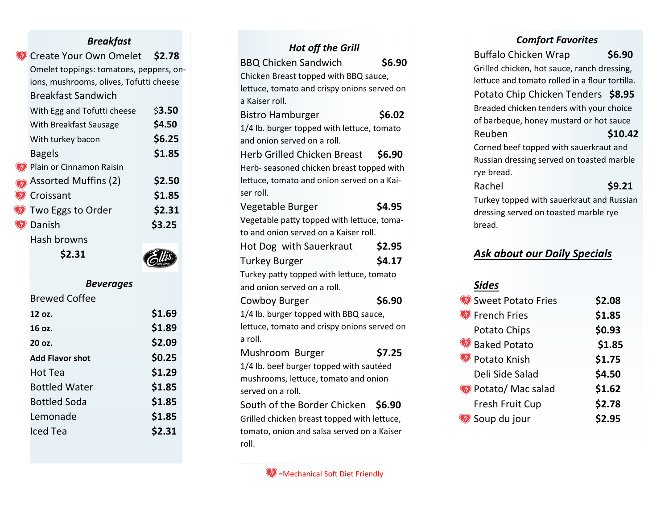### *Breakfast*

| Create Your Own Omelet                  | \$2.78 |
|-----------------------------------------|--------|
| Omelet toppings: tomatoes, peppers, on- |        |
| ions, mushrooms, olives, Tofutti cheese |        |
| <b>Breakfast Sandwich</b>               |        |
| With Egg and Tofutti cheese             | \$3.50 |
| With Breakfast Sausage                  | \$4.50 |
| With turkey bacon                       | \$6.25 |
| <b>Bagels</b>                           | \$1.85 |
| Plain or Cinnamon Raisin                |        |
| <b>Assorted Muffins (2)</b>             | \$2.50 |
| Croissant                               | \$1.85 |
| Two Eggs to Order                       | \$2.31 |
| Danish                                  | \$3.25 |
| <b>Hash browns</b>                      |        |
| S2.31                                   |        |

# $\sum_{\text{diff}}$

## *Beverages*

# Brewed Coffee

| \$1.69 |
|--------|
| \$1.89 |
| \$2.09 |
| \$0.25 |
| \$1.29 |
| \$1.85 |
| \$1.85 |
| \$1.85 |
| \$2.31 |
|        |

# *Hot off the Grill*  BBQ Chicken Sandwich **\$6.90** Chicken Breast topped with BBQ sauce, lettuce, tomato and crispy onions served on a Kaiser roll. Bistro Hamburger<br>
\$6.02 1/4 lb. burger topped with lettuce, tomato and onion served on a roll. Herb Grilled Chicken Breast **\$6.90** Herb - seasoned chicken breast topped with lettuce, tomato and onion served on a Kaiser roll. Vegetable Burger<br>
\$4.95 Vegetable patty topped with lettuce, tomato and onion served on a Kaiser roll. Hot Dog with Sauerkraut **\$2.95** Turkey Burger<br>
\$4.17 Turkey patty topped with lettuce, tomato and onion served on a roll. Cowboy Burger<br>
\$6.90 1/4 lb. burger topped with BBQ sauce, lettuce, tomato and crispy onions served on a roll. Mushroom Burger **\$7.25** 1/4 lb. beef burger topped with sautéed mushrooms, lettuce, tomato and onion served on a roll. South of the Border Chicken **\$6.90** Grilled chicken breast topped with lettuce, tomato, onion and salsa served on a Kaiser roll.

#### $\mathscr{D}$  =Mechanical Soft Diet Friendly

#### *Comfort Favorites*

| <b>Buffalo Chicken Wrap</b>                    | \$6.90  |  |
|------------------------------------------------|---------|--|
| Grilled chicken, hot sauce, ranch dressing,    |         |  |
| lettuce and tomato rolled in a flour tortilla. |         |  |
| Potato Chip Chicken Tenders \$8.95             |         |  |
| Breaded chicken tenders with your choice       |         |  |
| of barbeque, honey mustard or hot sauce        |         |  |
| Reuben                                         | \$10.42 |  |
| Corned beef topped with sauerkraut and         |         |  |
| Russian dressing served on toasted marble      |         |  |
| rye bread.                                     |         |  |
| Rachel                                         | \$9.21  |  |
| Turkey topped with sauerkraut and Russian      |         |  |
| dressing served on toasted marble rye          |         |  |
| bread.                                         |         |  |
|                                                |         |  |
| <u>Ask about our Daily Specials</u>            |         |  |
|                                                |         |  |
| <u>Sides</u>                                   |         |  |
| Sweet Potato Fries                             | \$2.08  |  |
| French Fries                                   | \$1.85  |  |
| <b>Potato Chins</b>                            | 93 US   |  |
|                                                |         |  |

| <b>M</b> Sweet Potato Fries | \$2.08 |
|-----------------------------|--------|
| <b>D</b> French Fries       | \$1.85 |
| Potato Chips                | \$0.93 |
| Baked Potato                | \$1.85 |
| Potato Knish                | \$1.75 |
| Deli Side Salad             | \$4.50 |
| Potato/Mac salad            | \$1.62 |
| Fresh Fruit Cup             | \$2.78 |
| Soup du jour                | \$2.95 |